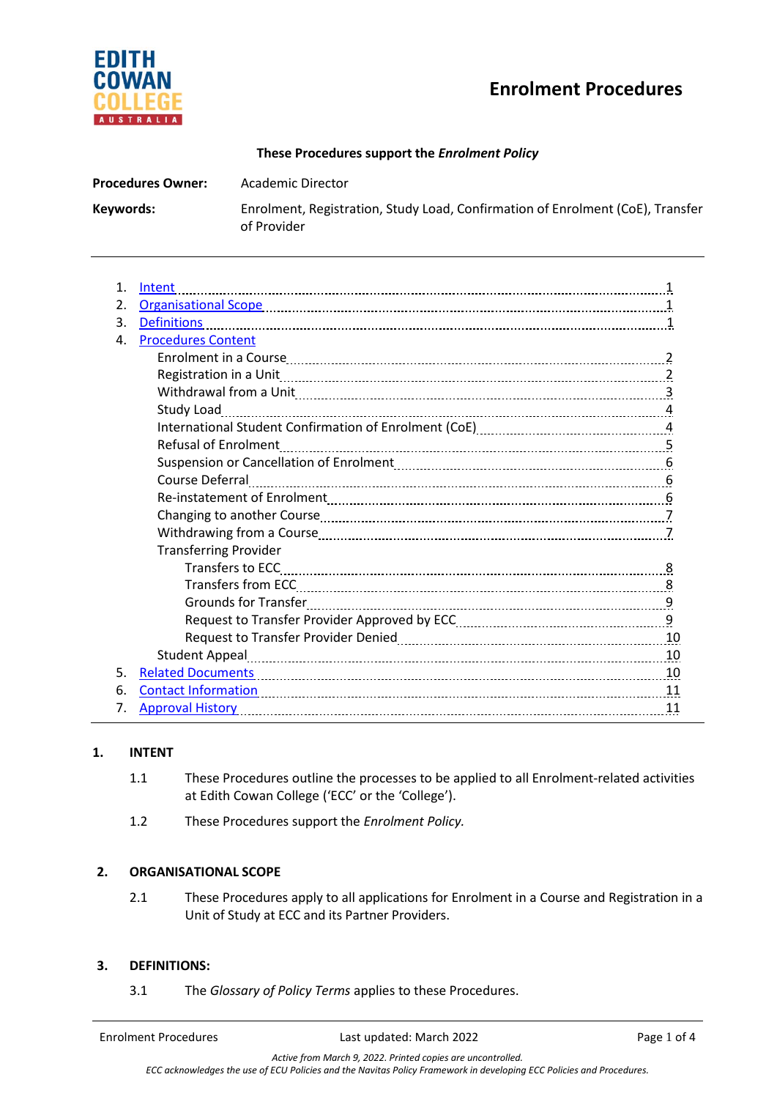# **Enrolment Procedures**



## **These Procedures support the** *Enrolment Policy*

| <b>Procedures Owner:</b> | Academic Director                                                                             |
|--------------------------|-----------------------------------------------------------------------------------------------|
| Keywords:                | Enrolment, Registration, Study Load, Confirmation of Enrolment (CoE), Transfer<br>of Provider |

| $\mathbf{1}$ . | Intent                                                                                                                                                                                                                         |  |
|----------------|--------------------------------------------------------------------------------------------------------------------------------------------------------------------------------------------------------------------------------|--|
| 2.             |                                                                                                                                                                                                                                |  |
| 3.             | <b>Definitions</b>                                                                                                                                                                                                             |  |
| 4.             | <b>Procedures Content</b>                                                                                                                                                                                                      |  |
|                |                                                                                                                                                                                                                                |  |
|                |                                                                                                                                                                                                                                |  |
|                | Withdrawal from a Unit 1990 Million 2008 Michael Manusch 2008 Michael Michael 30 Michael 30 Michael 30 Michael 30 Michael 30 Michael 30 Michael 30 Michael 30 Michael 30 Michael 30 Michael 30 Michael 30 Michael 30 Michael 3 |  |
|                |                                                                                                                                                                                                                                |  |
|                | International Student Confirmation of Enrolment (CoE) [11] [2012] Thermational Student Confirmation 4                                                                                                                          |  |
|                | <b>Refusal of Enrolment</b>                                                                                                                                                                                                    |  |
|                |                                                                                                                                                                                                                                |  |
|                |                                                                                                                                                                                                                                |  |
|                |                                                                                                                                                                                                                                |  |
|                |                                                                                                                                                                                                                                |  |
|                |                                                                                                                                                                                                                                |  |
|                | <b>Transferring Provider</b>                                                                                                                                                                                                   |  |
|                |                                                                                                                                                                                                                                |  |
|                |                                                                                                                                                                                                                                |  |
|                |                                                                                                                                                                                                                                |  |
|                |                                                                                                                                                                                                                                |  |
|                |                                                                                                                                                                                                                                |  |
|                | Student Appeal 10                                                                                                                                                                                                              |  |
| 5.             | <u>Related Documents</u> 10                                                                                                                                                                                                    |  |
| 6.             | <u>Contact Information</u> 11                                                                                                                                                                                                  |  |
| 7.             |                                                                                                                                                                                                                                |  |

# **1. INTENT**

- 1.1 These Procedures outline the processes to be applied to all Enrolment-related activities at Edith Cowan College ('ECC' or the 'College').
- 1.2 These Procedures support the *Enrolment Policy.*

# **2. ORGANISATIONAL SCOPE**

2.1 These Procedures apply to all applications for Enrolment in a Course and Registration in a Unit of Study at ECC and its Partner Providers.

# **3. DEFINITIONS:**

3.1 The *Glossary of Policy Terms* applies to these Procedures.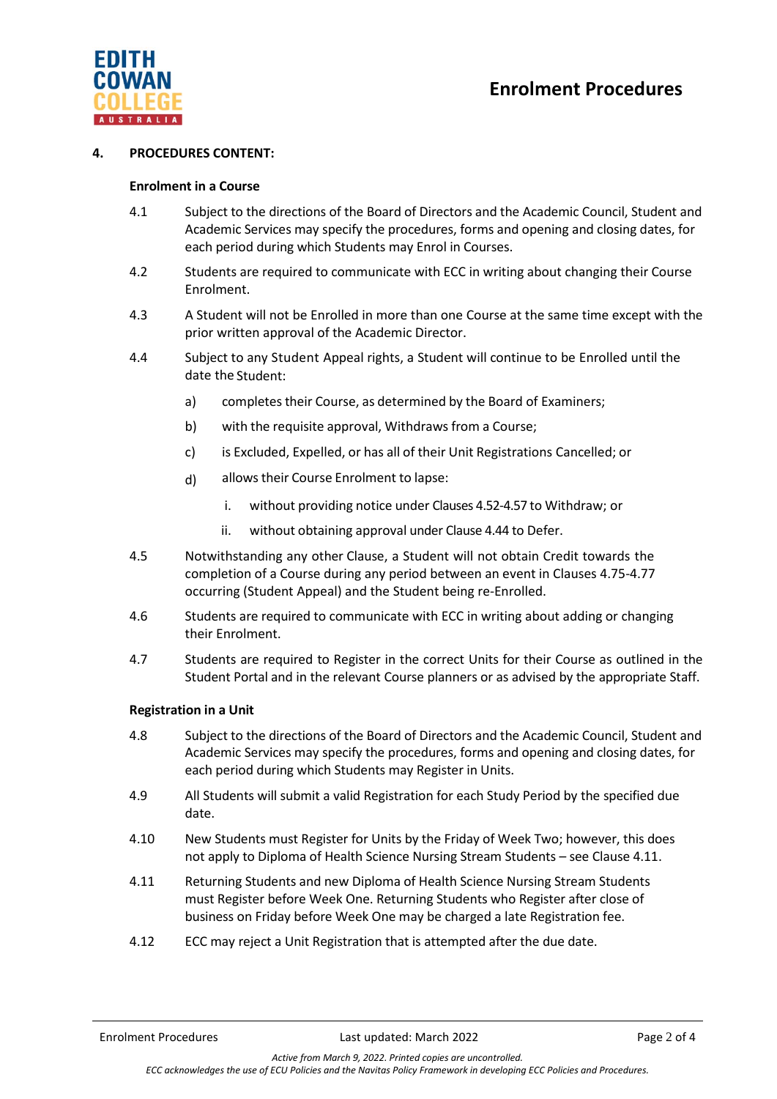

#### **4. PROCEDURES CONTENT:**

#### **Enrolment in a Course**

- 4.1 Subject to the directions of the Board of Directors and the Academic Council, Student and Academic Services may specify the procedures, forms and opening and closing dates, for each period during which Students may Enrol in Courses.
- 4.2 Students are required to communicate with ECC in writing about changing their Course Enrolment.
- 4.3 A Student will not be Enrolled in more than one Course at the same time except with the prior written approval of the Academic Director.
- 4.4 Subject to any Student Appeal rights, a Student will continue to be Enrolled until the date the Student:
	- a) completes their Course, as determined by the Board of Examiners;
	- b) with the requisite approval, Withdraws from a Course;
	- c) is Excluded, Expelled, or has all of their Unit Registrations Cancelled; or
	- d) allows their Course Enrolment to lapse:
		- i. without providing notice under Clauses 4.52-4.57 to Withdraw; or
		- ii. without obtaining approval under Clause 4.44 to Defer.
- 4.5 Notwithstanding any other Clause, a Student will not obtain Credit towards the completion of a Course during any period between an event in Clauses 4.75-4.77 occurring (Student Appeal) and the Student being re-Enrolled.
- 4.6 Students are required to communicate with ECC in writing about adding or changing their Enrolment.
- 4.7 Students are required to Register in the correct Units for their Course as outlined in the Student Portal and in the relevant Course planners or as advised by the appropriate Staff.

#### **Registration in a Unit**

- 4.8 Subject to the directions of the Board of Directors and the Academic Council, Student and Academic Services may specify the procedures, forms and opening and closing dates, for each period during which Students may Register in Units.
- 4.9 All Students will submit a valid Registration for each Study Period by the specified due date.
- 4.10 New Students must Register for Units by the Friday of Week Two; however, this does not apply to Diploma of Health Science Nursing Stream Students – see Clause 4.11.
- 4.11 Returning Students and new Diploma of Health Science Nursing Stream Students must Register before Week One. Returning Students who Register after close of business on Friday before Week One may be charged a late Registration fee.
- 4.12 ECC may reject a Unit Registration that is attempted after the due date.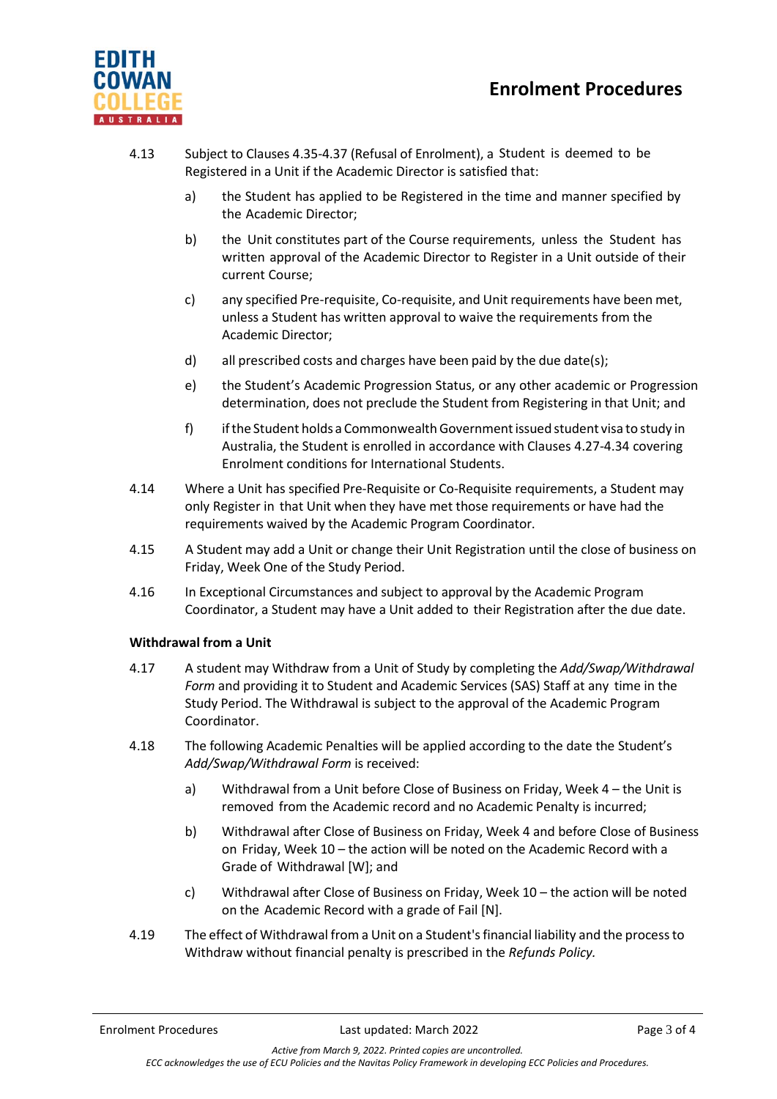



- 4.13 Subject to Clauses 4.35-4.37 (Refusal of Enrolment), a Student is deemed to be Registered in a Unit if the Academic Director is satisfied that:
	- a) the Student has applied to be Registered in the time and manner specified by the Academic Director;
	- b) the Unit constitutes part of the Course requirements, unless the Student has written approval of the Academic Director to Register in a Unit outside of their current Course;
	- c) any specified Pre-requisite, Co-requisite, and Unit requirements have been met, unless a Student has written approval to waive the requirements from the Academic Director;
	- d) all prescribed costs and charges have been paid by the due date(s);
	- e) the Student's Academic Progression Status, or any other academic or Progression determination, does not preclude the Student from Registering in that Unit; and
	- f) ifthe Student holds a CommonwealthGovernmentissued student visa to study in Australia, the Student is enrolled in accordance with Clauses 4.27-4.34 covering Enrolment conditions for [International](http://policysearch.ecu.edu.au/WebDrawer.PolicySearch/Record/590/file/document) Student[s.](http://policysearch.ecu.edu.au/WebDrawer.PolicySearch/Record/590/file/document)
- 4.14 Where a Unit has specified Pre-Requisite or Co-Requisite requirements, a Student may only Register in that Unit when they have met those requirements or have had the requirements waived by the Academic Program Coordinator.
- 4.15 A Student may add a Unit or change their Unit Registration until the close of business on Friday, Week One of the Study Period.
- 4.16 In Exceptional Circumstances and subject to approval by the Academic Program Coordinator, a Student may have a Unit added to their Registration after the due date.

#### **Withdrawal from a Unit**

- 4.17 A student may Withdraw from a Unit of Study by completing the *Add/Swap/Withdrawal Form* and providing it to Student and Academic Services (SAS) Staff at any time in the Study Period. The Withdrawal is subject to the approval of the Academic Program Coordinator.
- 4.18 The following Academic Penalties will be applied according to the date the Student's *Add/Swap/Withdrawal Form* is received:
	- a) Withdrawal from a Unit before Close of Business on Friday, Week 4 the Unit is removed from the Academic record and no Academic Penalty is incurred;
	- b) Withdrawal after Close of Business on Friday, Week 4 and before Close of Business on Friday, Week 10 – the action will be noted on the Academic Record with a Grade of Withdrawal [W]; and
	- c) Withdrawal after Close of Business on Friday, Week 10 the action will be noted on the Academic Record with a grade of Fail [N].
- 4.19 The effect of Withdrawal from a Unit on a Student'sfinancial liability and the processto Withdraw without financial penalty is prescribed in the *Refunds Policy.*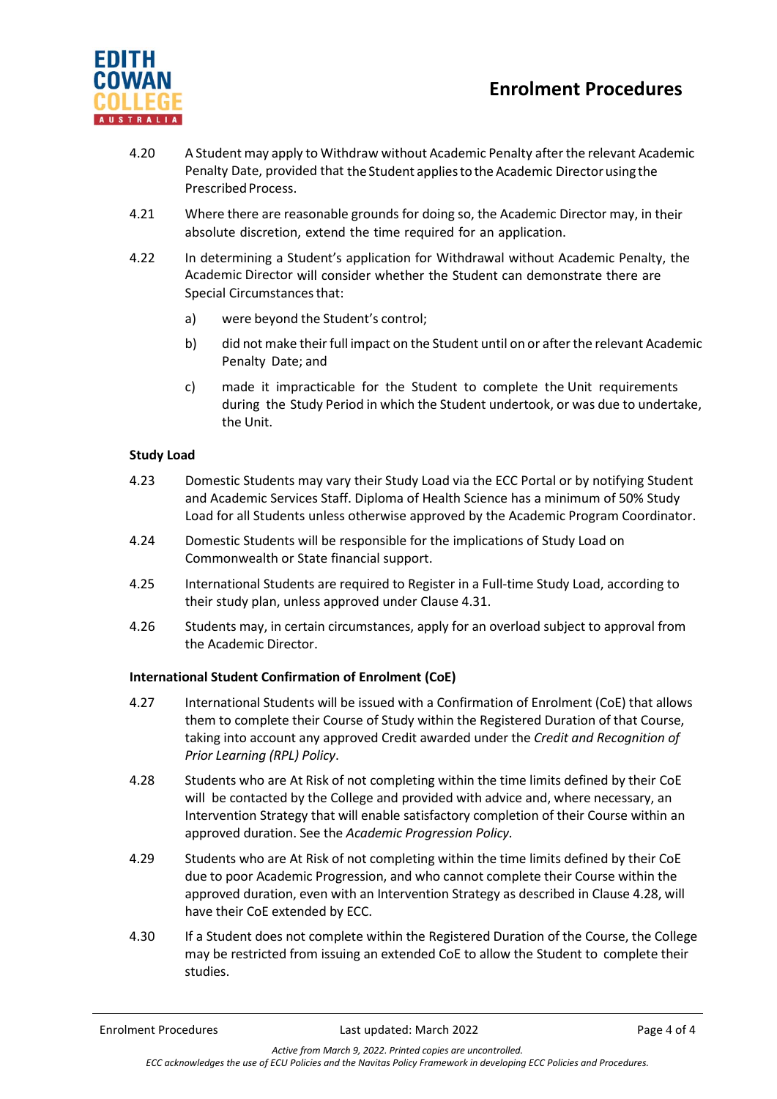# **Enrolment Procedures**



- 4.20 A Student may apply to Withdraw without Academic Penalty afterthe relevant Academic Penalty Date, provided that the Student applies to the Academic Director using the Prescribed Process.
- 4.21 Where there are reasonable grounds for doing so, the Academic Director may, in their absolute discretion, extend the time required for an application.
- 4.22 In determining a Student's application for Withdrawal without Academic Penalty, the Academic Director will consider whether the Student can demonstrate there are Special Circumstancesthat:
	- a) were beyond the Student's control;
	- b) did not make their full impact on the Student until on or after the relevant Academic Penalty Date; and
	- c) made it impracticable for the Student to complete the Unit requirements during the Study Period in which the Student undertook, or was due to undertake, the Unit.

## **Study Load**

- 4.23 Domestic Students may vary their Study Load via the ECC Portal or by notifying Student and Academic Services Staff. Diploma of Health Science has a minimum of 50% Study Load for all Students unless otherwise approved by the Academic Program Coordinator.
- 4.24 Domestic Students will be responsible for the implications of Study Load on Commonwealth or State financial support.
- 4.25 International Students are required to Register in a Full-time Study Load, according to their study plan, unless approved under Clause 4.31.
- 4.26 Students may, in certain circumstances, apply for an overload subject to approval from the Academic Director.

#### **International Student Confirmation of Enrolment (CoE)**

- 4.27 International Students will be issued with a Confirmation of Enrolment (CoE) that allows them to complete their Course of Study within the Registered Duration of that Course, taking into account any approved Credit awarded under the *Credit and Recognition of Prior Learning (RPL) Policy*.
- 4.28 Students who are At Risk of not completing within the time limits defined by their CoE will be contacted by the College and provided with advice and, where necessary, an Intervention Strategy that will enable satisfactory completion of their Course within an approved duration. See the *Academic Progression Policy.*
- 4.29 Students who are At Risk of not completing within the time limits defined by their CoE due to poor Academic Progression, and who cannot complete their Course within the approved duration, even with an Intervention Strategy as described in Clause 4.28, will have their CoE extended by ECC.
- 4.30 If a Student does not complete within the Registered Duration of the Course, the College may be restricted from issuing an extended CoE to allow the Student to complete their studies.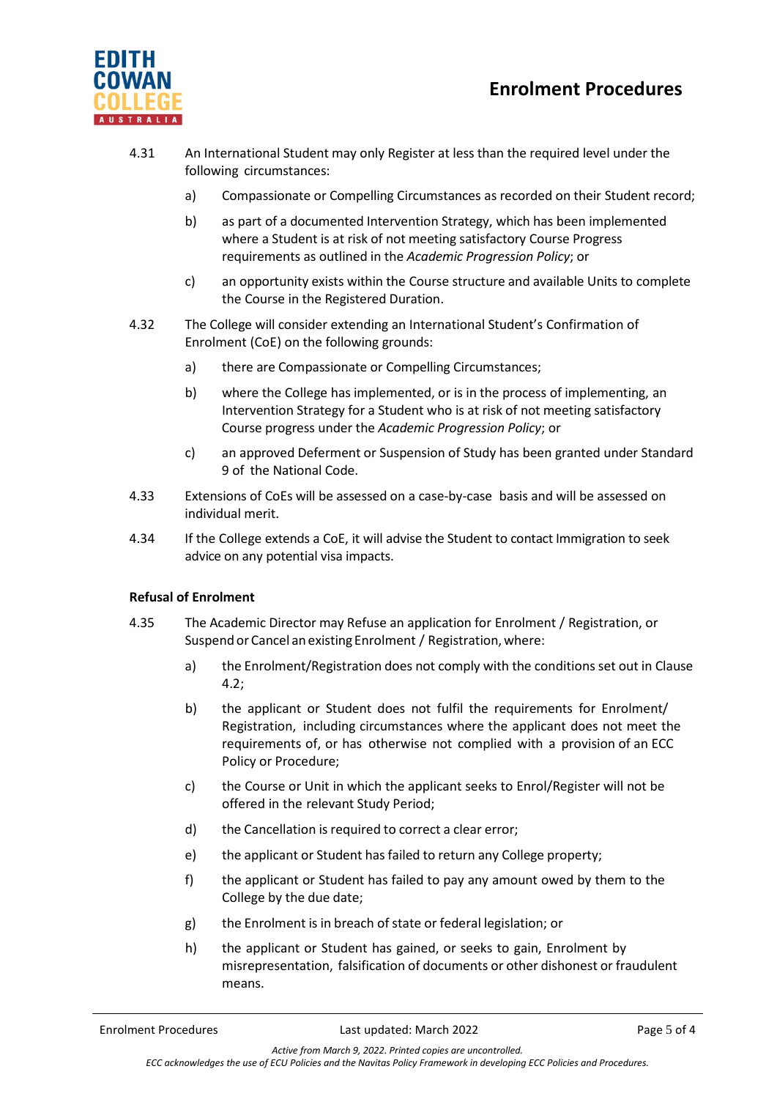



- 4.31 An International Student may only Register at less than the required level under the following circumstances:
	- a) Compassionate or Compelling Circumstances as recorded on their Student record;
	- b) as part of a documented Intervention Strategy, which has been implemented where a Student is at risk of not meeting satisfactory Course Progress requirements as outlined in the *Academic Progression Policy*; or
	- c) an opportunity exists within the Course structure and available Units to complete the Course in the Registered Duration.
- 4.32 The College will consider extending an International Student's Confirmation of Enrolment (CoE) on the following grounds:
	- a) there are Compassionate or Compelling Circumstances;
	- b) where the College has implemented, or is in the process of implementing, an Intervention Strategy for a Student who is at risk of not meeting satisfactory Course progress under the *Academic Progression Policy*; or
	- c) an approved Deferment or Suspension of Study has been granted under Standard 9 of the National Code.
- 4.33 Extensions of CoEs will be assessed on a case-by-case basis and will be assessed on individual merit.
- 4.34 If the College extends a CoE, it will advise the Student to contact Immigration to seek advice on any potential visa impacts.

# **Refusal of Enrolment**

- 4.35 The Academic Director may Refuse an application for Enrolment / Registration, or Suspend or Cancel an existing Enrolment / Registration, where:
	- a) the Enrolment/Registration does not comply with the conditions set out in Clause 4.2;
	- b) the applicant or Student does not fulfil the requirements for Enrolment/ Registration, including circumstances where the applicant does not meet the requirements of, or has otherwise not complied with a provision of an ECC Policy or Procedure;
	- c) the Course or Unit in which the applicant seeks to Enrol/Register will not be offered in the relevant Study Period;
	- d) the Cancellation is required to correct a clear error;
	- e) the applicant or Student has failed to return any College property;
	- f) the applicant or Student has failed to pay any amount owed by them to the College by the due date;
	- g) the Enrolment is in breach of state or federal legislation; or
	- h) the applicant or Student has gained, or seeks to gain, Enrolment by misrepresentation, falsification of documents or other dishonest or fraudulent means.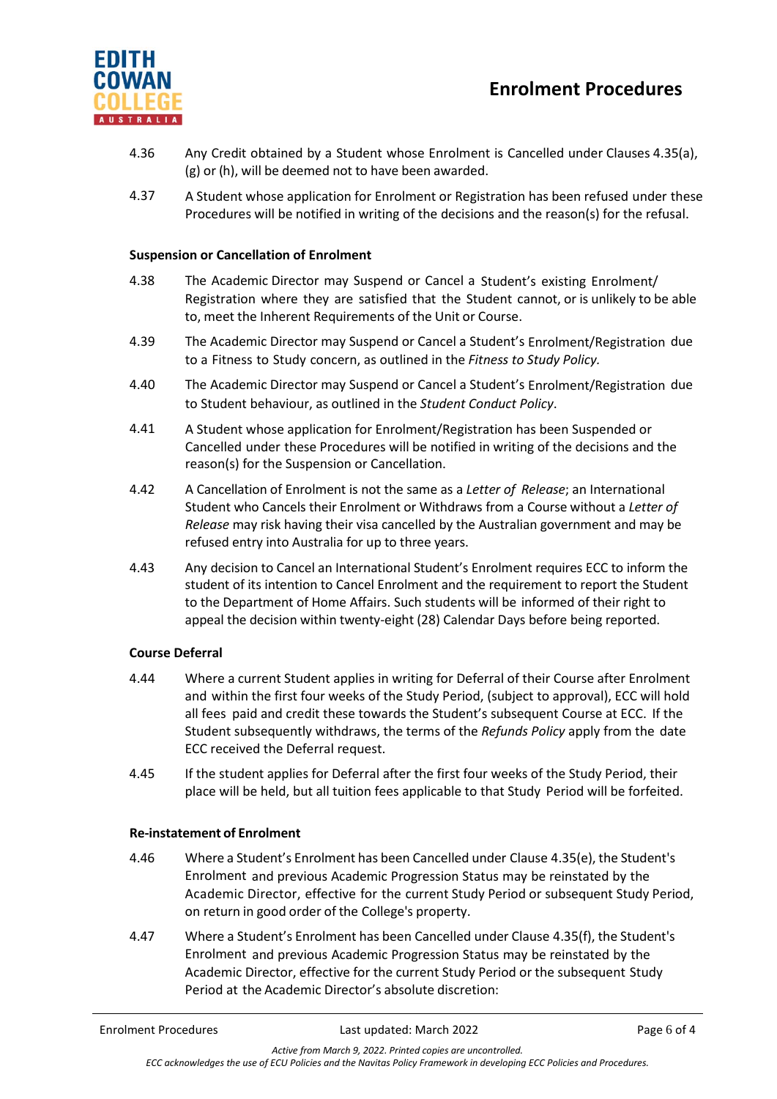



- 4.36 Any Credit obtained by a Student whose Enrolment is Cancelled under Clauses 4.35(a), (g) or (h), will be deemed not to have been awarded.
- 4.37 A Student whose application for Enrolment or Registration has been refused under these Procedures will be notified in writing of the decisions and the reason(s) for the refusal.

#### **Suspension or Cancellation of Enrolment**

- 4.38 The Academic Director may Suspend or Cancel a Student's existing Enrolment/ Registration where they are satisfied that the Student cannot, or is unlikely to be able to, meet the Inherent Requirements of the Unit or Course.
- 4.39 The Academic Director may Suspend or Cancel a Student's Enrolment/Registration due to a Fitness to Study concern, as outlined in the *Fitness to Study Policy.*
- 4.40 The Academic Director may Suspend or Cancel a Student's Enrolment/Registration due to Student behaviour, as outlined in the *Student Conduct Policy*.
- 4.41 A Student whose application for Enrolment/Registration has been Suspended or Cancelled under these Procedures will be notified in writing of the decisions and the reason(s) for the Suspension or Cancellation.
- 4.42 A Cancellation of Enrolment is not the same as a *Letter of Release*; an International Student who Cancels their Enrolment or Withdraws from a Course without a *Letter of Release* may risk having their visa cancelled by the Australian government and may be refused entry into Australia for up to three years.
- 4.43 Any decision to Cancel an International Student's Enrolment requires ECC to inform the student of its intention to Cancel Enrolment and the requirement to report the Student to the Department of Home Affairs. Such students will be informed of their right to appeal the decision within twenty-eight (28) Calendar Days before being reported.

#### **Course Deferral**

- 4.44 Where a current Student applies in writing for Deferral of their Course after Enrolment and within the first four weeks of the Study Period, (subject to approval), ECC will hold all fees paid and credit these towards the Student's subsequent Course at ECC. If the Student subsequently withdraws, the terms of the *Refunds Policy* apply from the date ECC received the Deferral request.
- 4.45 If the student applies for Deferral after the first four weeks of the Study Period, their place will be held, but all tuition fees applicable to that Study Period will be forfeited.

#### **Re-instatement of Enrolment**

- 4.46 Where a Student's Enrolment has been Cancelled under Clause 4.35(e), the Student's Enrolment and previous Academic Progression Status may be reinstated by the Academic Director, effective for the current Study Period or subsequent Study Period, on return in good order of the College's property.
- 4.47 Where a Student's Enrolment has been Cancelled under Clause 4.35(f), the Student's Enrolment and previous Academic Progression Status may be reinstated by the Academic Director, effective for the current Study Period or the subsequent Study Period at the Academic Director's absolute discretion: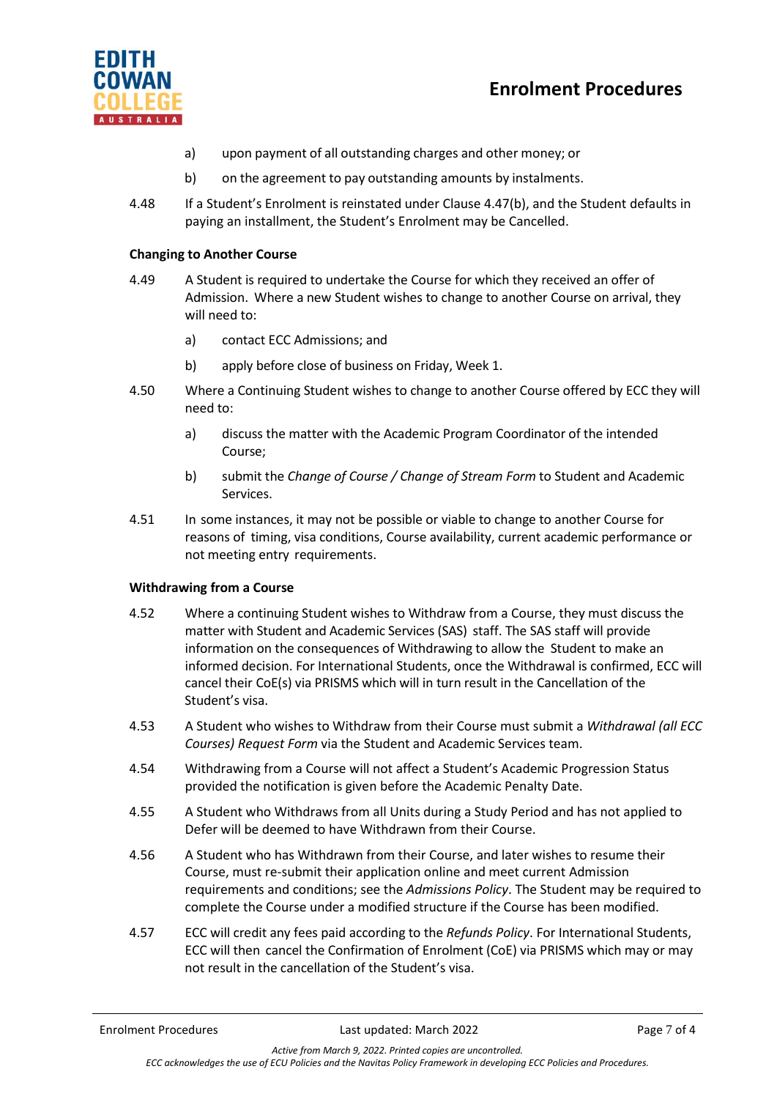# **Enrolment Procedures**



- a) upon payment of all outstanding charges and other money; or
- b) on the agreement to pay outstanding amounts by instalments.
- 4.48 If a Student's Enrolment is reinstated under Clause 4.47(b), and the Student defaults in paying an installment, the Student's Enrolment may be Cancelled.

## **Changing to Another Course**

- 4.49 A Student is required to undertake the Course for which they received an offer of Admission. Where a new Student wishes to change to another Course on arrival, they will need to:
	- a) contact ECC Admissions; and
	- b) apply before close of business on Friday, Week 1.
- 4.50 Where a Continuing Student wishes to change to another Course offered by ECC they will need to:
	- a) discuss the matter with the Academic Program Coordinator of the intended Course;
	- b) submit the *Change of Course / Change of Stream Form* to Student and Academic Services.
- 4.51 In some instances, it may not be possible or viable to change to another Course for reasons of timing, visa conditions, Course availability, current academic performance or not meeting entry requirements.

#### **Withdrawing from a Course**

- 4.52 Where a continuing Student wishes to Withdraw from a Course, they must discuss the matter with Student and Academic Services (SAS) staff. The SAS staff will provide information on the consequences of Withdrawing to allow the Student to make an informed decision. For International Students, once the Withdrawal is confirmed, ECC will cancel their CoE(s) via PRISMS which will in turn result in the Cancellation of the Student's visa.
- 4.53 A Student who wishes to Withdraw from their Course must submit a *Withdrawal (all ECC Courses) Request Form* via the Student and Academic Services team.
- 4.54 Withdrawing from a Course will not affect a Student's Academic Progression Status provided the notification is given before the Academic Penalty Date.
- 4.55 A Student who Withdraws from all Units during a Study Period and has not applied to Defer will be deemed to have Withdrawn from their Course.
- 4.56 A Student who has Withdrawn from their Course, and later wishes to resume their Course, must re-submit their application online and meet current Admission requirements and conditions; see the *Admissions Policy*. The Student may be required to complete the Course under a modified structure if the Course has been modified.
- 4.57 ECC will credit any fees paid according to the *Refunds Policy*. For International Students, ECC will then cancel the Confirmation of Enrolment (CoE) via PRISMS which may or may not result in the cancellation of the Student's visa.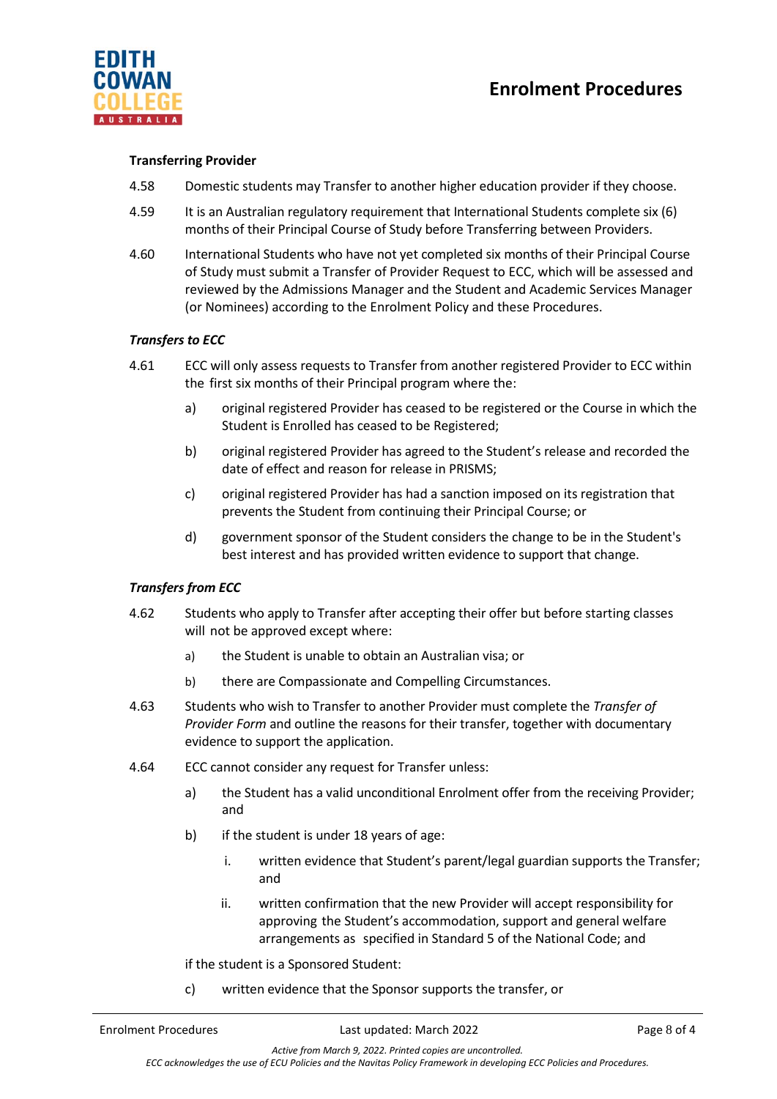

#### **Transferring Provider**

- 4.58 Domestic students may Transfer to another higher education provider if they choose.
- 4.59 It is an Australian regulatory requirement that International Students complete six (6) months of their Principal Course of Study before Transferring between Providers.
- 4.60 International Students who have not yet completed six months of their Principal Course of Study must submit a Transfer of Provider Request to ECC, which will be assessed and reviewed by the Admissions Manager and the Student and Academic Services Manager (or Nominees) according to the Enrolment Policy and these Procedures.

## *Transfers to ECC*

- 4.61 ECC will only assess requests to Transfer from another registered Provider to ECC within the first six months of their Principal program where the:
	- a) original registered Provider has ceased to be registered or the Course in which the Student is Enrolled has ceased to be Registered;
	- b) original registered Provider has agreed to the Student's release and recorded the date of effect and reason for release in PRISMS;
	- c) original registered Provider has had a sanction imposed on its registration that prevents the Student from continuing their Principal Course; or
	- d) government sponsor of the Student considers the change to be in the Student's best interest and has provided written evidence to support that change.

#### *Transfers from ECC*

- 4.62 Students who apply to Transfer after accepting their offer but before starting classes will not be approved except where:
	- a) the Student is unable to obtain an Australian visa; or
	- b) there are Compassionate and Compelling Circumstances.
- 4.63 Students who wish to Transfer to another Provider must complete the *Transfer of Provider Form* and outline the reasons for their transfer, together with documentary evidence to support the application.
- 4.64 ECC cannot consider any request for Transfer unless:
	- a) the Student has a valid unconditional Enrolment offer from the receiving Provider; and
	- b) if the student is under 18 years of age:
		- i. written evidence that Student's parent/legal guardian supports the Transfer; and
		- ii. written confirmation that the new Provider will accept responsibility for approving the Student's accommodation, support and general welfare arrangements as specified in Standard 5 of the National Code; and

if the student is a Sponsored Student:

c) written evidence that the Sponsor supports the transfer, or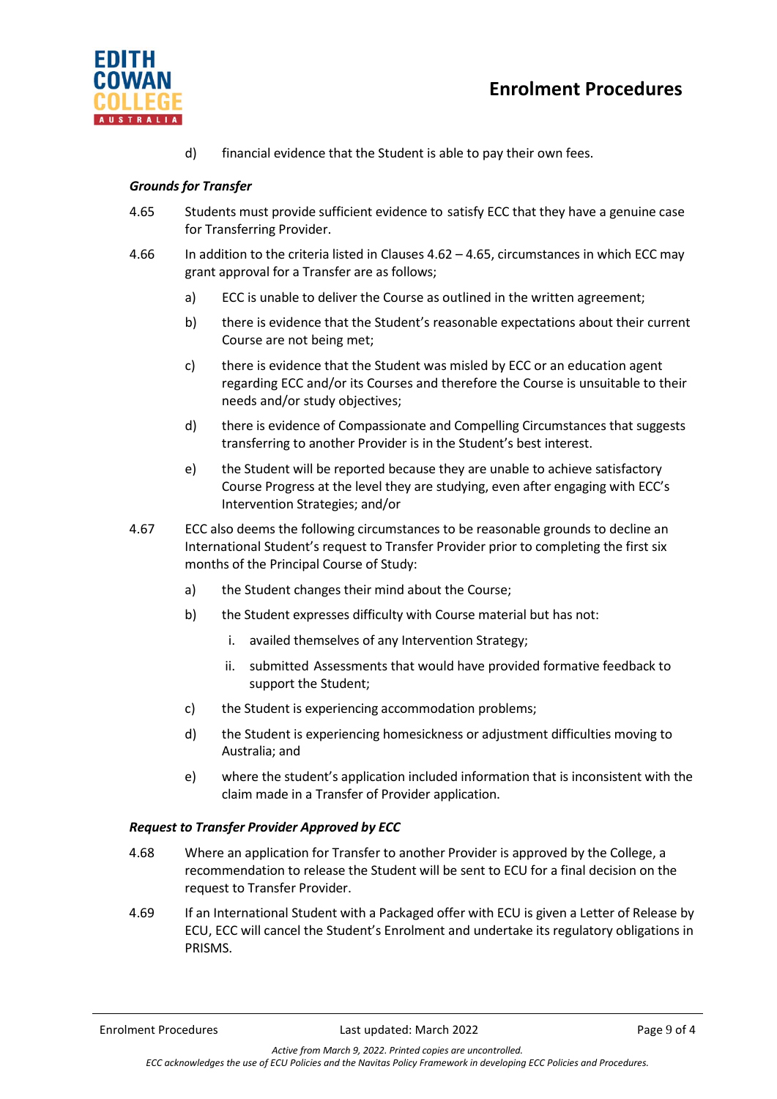



d) financial evidence that the Student is able to pay their own fees.

## *Grounds for Transfer*

- 4.65 Students must provide sufficient evidence to satisfy ECC that they have a genuine case for Transferring Provider.
- 4.66 In addition to the criteria listed in Clauses 4.62 4.65, circumstances in which ECC may grant approval for a Transfer are as follows;
	- a) ECC is unable to deliver the Course as outlined in the written agreement;
	- b) there is evidence that the Student's reasonable expectations about their current Course are not being met;
	- c) there is evidence that the Student was misled by ECC or an education agent regarding ECC and/or its Courses and therefore the Course is unsuitable to their needs and/or study objectives;
	- d) there is evidence of Compassionate and Compelling Circumstances that suggests transferring to another Provider is in the Student's best interest.
	- e) the Student will be reported because they are unable to achieve satisfactory Course Progress at the level they are studying, even after engaging with ECC's Intervention Strategies; and/or
- 4.67 ECC also deems the following circumstances to be reasonable grounds to decline an International Student's request to Transfer Provider prior to completing the first six months of the Principal Course of Study:
	- a) the Student changes their mind about the Course;
	- b) the Student expresses difficulty with Course material but has not:
		- i. availed themselves of any Intervention Strategy;
		- ii. submitted Assessments that would have provided formative feedback to support the Student;
	- c) the Student is experiencing accommodation problems;
	- d) the Student is experiencing homesickness or adjustment difficulties moving to Australia; and
	- e) where the student's application included information that is inconsistent with the claim made in a Transfer of Provider application.

#### *Request to Transfer Provider Approved by ECC*

- 4.68 Where an application for Transfer to another Provider is approved by the College, a recommendation to release the Student will be sent to ECU for a final decision on the request to Transfer Provider.
- 4.69 If an International Student with a Packaged offer with ECU is given a Letter of Release by ECU, ECC will cancel the Student's Enrolment and undertake its regulatory obligations in PRISMS.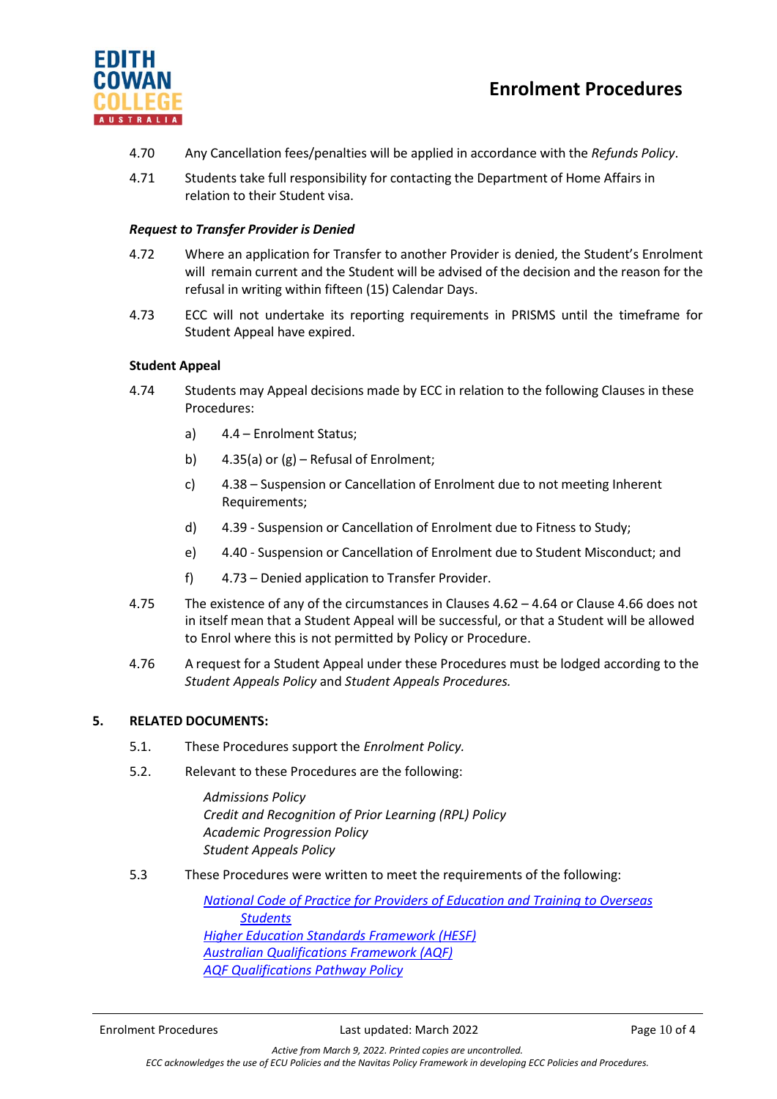



- 4.70 Any Cancellation fees/penalties will be applied in accordance with the *Refunds Policy*.
- 4.71 Students take full responsibility for contacting the Department of Home Affairs in relation to their Student visa.

## *Request to Transfer Provider is Denied*

- 4.72 Where an application for Transfer to another Provider is denied, the Student's Enrolment will remain current and the Student will be advised of the decision and the reason for the refusal in writing within fifteen (15) Calendar Days.
- 4.73 ECC will not undertake its reporting requirements in PRISMS until the timeframe for Student Appeal have expired.

## **Student Appeal**

- 4.74 Students may Appeal decisions made by ECC in relation to the following Clauses in these Procedures:
	- a) 4.4 Enrolment Status;
	- b) 4.35(a) or (g) Refusal of Enrolment;
	- c) 4.38 Suspension or Cancellation of Enrolment due to not meeting Inherent Requirements;
	- d) 4.39 Suspension or Cancellation of Enrolment due to Fitness to Study;
	- e) 4.40 Suspension or Cancellation of Enrolment due to Student Misconduct; and
	- f) 4.73 Denied application to Transfer Provider.
- 4.75 The existence of any of the circumstances in Clauses 4.62 4.64 or Clause 4.66 does not in itself mean that a Student Appeal will be successful, or that a Student will be allowed to Enrol where this is not permitted by Policy or Procedure.
- 4.76 A request for a Student Appeal under these Procedures must be lodged according to the *Student Appeals Policy* and *Student Appeals Procedures.*

#### **5. RELATED DOCUMENTS:**

- 5.1. These Procedures support the *Enrolment Policy.*
- 5.2. Relevant to these Procedures are the following:

*Admissions Policy Credit and Recognition of Prior Learning (RPL) Policy Academic Progression Policy Student Appeals Policy*

5.3 These Procedures were written to meet the requirements of the following:

*[National Code of Practice for Providers of Education and Training to Overseas](https://internationaleducation.gov.au/Regulatory-Information/Pages/National-Code-2018-Factsheets-.aspx)  [Students](https://internationaleducation.gov.au/Regulatory-Information/Pages/National-Code-2018-Factsheets-.aspx) [Higher Education Standards Framework \(HESF\)](https://www.teqsa.gov.au/higher-education-standards-framework-2015) [Australian Qualifications Framework \(AQF\)](https://www.aqf.edu.au/) [AQF Qualifications Pathway Policy](https://www.aqf.edu.au/aqf-policies)*